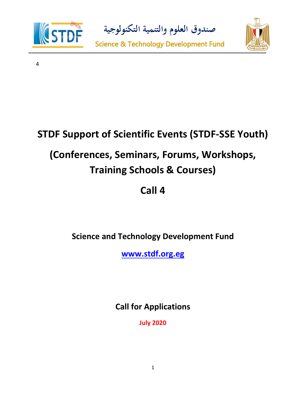

**صندوق العلوم والتنمية التكنولوجية**



4

# **STDF Support of Scientific Events (STDF-SSE Youth) (Conferences, Seminars, Forums, Workshops, Training Schools & Courses)**

# **Call 4**

**Science and Technology Development Fund**

**[www.stdf.org.eg](http://www.stdf.org.eg/)**

**Call for Applications**

**July 2020**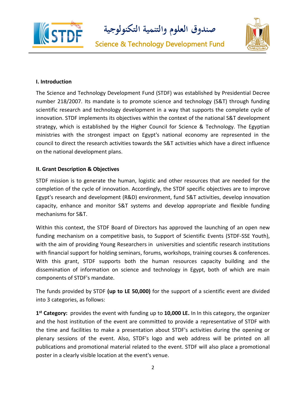

**صندوق العلوم والتنمية التكنولوجية**



#### **I. Introduction**

The Science and Technology Development Fund (STDF) was established by Presidential Decree number 218/2007. Its mandate is to promote science and technology (S&T) through funding scientific research and technology development in a way that supports the complete cycle of innovation. STDF implements its objectives within the context of the national S&T development strategy, which is established by the Higher Council for Science & Technology. The Egyptian ministries with the strongest impact on Egypt's national economy are represented in the council to direct the research activities towards the S&T activities which have a direct influence on the national development plans.

#### **II. Grant Description & Objectives**

STDF mission is to generate the human, logistic and other resources that are needed for the completion of the cycle of innovation. Accordingly, the STDF specific objectives are to improve Egypt's research and development (R&D) environment, fund S&T activities, develop innovation capacity, enhance and monitor S&T systems and develop appropriate and flexible funding mechanisms for S&T.

Within this context, the STDF Board of Directors has approved the launching of an open new funding mechanism on a competitive basis, to Support of Scientific Events (STDF-SSE Youth), with the aim of providing Young Researchers in universities and scientific research institutions with financial support for holding seminars, forums, workshops, training courses & conferences. With this grant, STDF supports both the human resources capacity building and the dissemination of information on science and technology in Egypt, both of which are main components of STDF's mandate.

The funds provided by STDF **(up to LE 50,000)** for the support of a scientific event are divided into 3 categories, as follows:

**1 st Category:** provides the event with funding up to **10,000 LE.** In In this category, the organizer and the host institution of the event are committed to provide a representative of STDF with the time and facilities to make a presentation about STDF's activities during the opening or plenary sessions of the event. Also, STDF's logo and web address will be printed on all publications and promotional material related to the event. STDF will also place a promotional poster in a clearly visible location at the event's venue.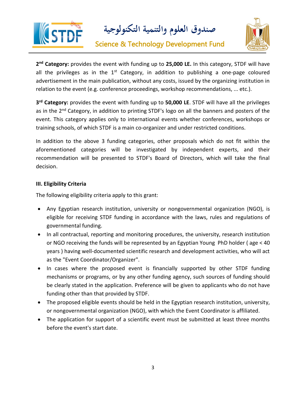

**صندوق العلوم والتنمية التكنولوجية**



**2 nd Category:** provides the event with funding up to **25,000 LE.** In this category, STDF will have all the privileges as in the  $1<sup>st</sup>$  Category, in addition to publishing a one-page coloured advertisement in the main publication, without any costs, issued by the organizing institution in relation to the event (e.g. conference proceedings, workshop recommendations, ... etc.).

**3 rd Category:** provides the event with funding up to **50,000 LE**. STDF will have all the privileges as in the 2<sup>nd</sup> Category, in addition to printing STDF's logo on all the banners and posters of the event. This category applies only to international events whether conferences, workshops or training schools, of which STDF is a main co-organizer and under restricted conditions.

In addition to the above 3 funding categories, other proposals which do not fit within the aforementioned categories will be investigated by independent experts, and their recommendation will be presented to STDF's Board of Directors, which will take the final decision.

#### **III. Eligibility Criteria**

The following eligibility criteria apply to this grant:

- Any Egyptian research institution, university or nongovernmental organization (NGO), is eligible for receiving STDF funding in accordance with the laws, rules and regulations of governmental funding.
- In all contractual, reporting and monitoring procedures, the university, research institution or NGO receiving the funds will be represented by an Egyptian Young PhD holder ( age < 40 years ) having well-documented scientific research and development activities, who will act as the "Event Coordinator/Organizer".
- In cases where the proposed event is financially supported by other STDF funding mechanisms or programs, or by any other funding agency, such sources of funding should be clearly stated in the application. Preference will be given to applicants who do not have funding other than that provided by STDF.
- The proposed eligible events should be held in the Egyptian research institution, university, or nongovernmental organization (NGO), with which the Event Coordinator is affiliated.
- The application for support of a scientific event must be submitted at least three months before the event's start date.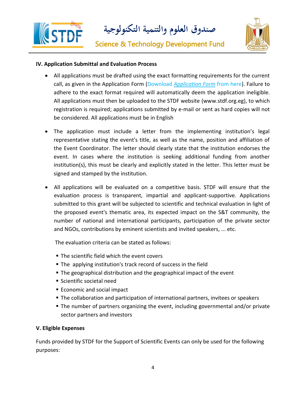

**صندوق العلوم والتنمية التكنولوجية**



#### **IV. Application Submittal and Evaluation Process**

- All applications must be drafted using the exact formatting requirements for the current call, as given in the Application Form (Download *Application Form* from here). Failure to adhere to the exact format required will automatically deem the application ineligible. All applications must then be uploaded to the STDF website (www.stdf.org.eg), to which registration is required; applications submitted by e-mail or sent as hard copies will not be considered. All applications must be in English
- The application must include a letter from the implementing institution's legal representative stating the event's title, as well as the name, position and affiliation of the Event Coordinator. The letter should clearly state that the institution endorses the event. In cases where the institution is seeking additional funding from another institution(s), this must be clearly and explicitly stated in the letter. This letter must be signed and stamped by the institution.
- All applications will be evaluated on a competitive basis. STDF will ensure that the evaluation process is transparent, impartial and applicant-supportive. Applications submitted to this grant will be subjected to scientific and technical evaluation in light of the proposed event's thematic area, its expected impact on the S&T community, the number of national and international participants, participation of the private sector and NGOs, contributions by eminent scientists and invited speakers, ... etc.

The evaluation criteria can be stated as follows:

- The scientific field which the event covers
- The applying institution's track record of success in the field
- The geographical distribution and the geographical impact of the event
- Scientific societal need
- Economic and social impact
- The collaboration and participation of international partners, invitees or speakers
- The number of partners organizing the event, including governmental and/or private sector partners and investors

#### **V. Eligible Expenses**

Funds provided by STDF for the Support of Scientific Events can only be used for the following purposes: